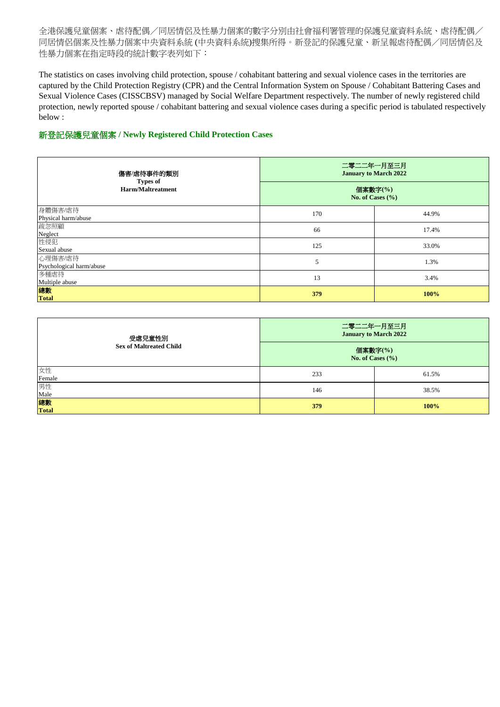| 傷害/虐待事件的類別                                  | 二零二二年一月至三月<br><b>January to March 2022</b> |       |
|---------------------------------------------|--------------------------------------------|-------|
| <b>Types of</b><br><b>Harm/Maltreatment</b> | 個案數字(%)<br>No. of Cases $(\% )$            |       |
| 身體傷害/虐待<br>Physical harm/abuse              | 170                                        | 44.9% |
| 疏忽照顧                                        | 66                                         | 17.4% |
| Neglect<br>性侵犯<br>Sexual abuse              | 125                                        | 33.0% |
| 心理傷害/虐待<br>Psychological harm/abuse         | 5                                          | 1.3%  |
| 多種虐待<br>Multiple abuse                      | 13                                         | 3.4%  |
| 總數<br><b>Total</b>                          | 379                                        | 100%  |

## 新登記保護兒童個案 **/ Newly Registered Child Protection Cases**

| 受虐兒童性別                                  | 二零二二年一月至三月<br><b>January to March 2022</b> |       |
|-----------------------------------------|--------------------------------------------|-------|
| <b>Sex of Maltreated Child</b>          | 個案數字(%)<br>No. of Cases $(\% )$            |       |
| 女性<br>Female                            | 233                                        | 61.5% |
| 男性                                      | 146                                        | 38.5% |
| Male<br><mark>總數</mark><br><b>Total</b> | 379                                        | 100%  |

全港保護兒童個案、虐待配偶/同居情侶及性暴力個案的數字分別由社會福利署管理的保護兒童資料系統、虐待配偶/ 同居情侶個案及性暴力個案中央資料系統 (中央資料系統)搜集所得。新登記的保護兒童、新呈報虐待配偶/同居情侶及 性暴力個案在指定時段的統計數字表列如下:

The statistics on cases involving child protection, spouse / cohabitant battering and sexual violence cases in the territories are captured by the Child Protection Registry (CPR) and the Central Information System on Spouse / Cohabitant Battering Cases and Sexual Violence Cases (CISSCBSV) managed by Social Welfare Department respectively. The number of newly registered child protection, newly reported spouse / cohabitant battering and sexual violence cases during a specific period is tabulated respectively below :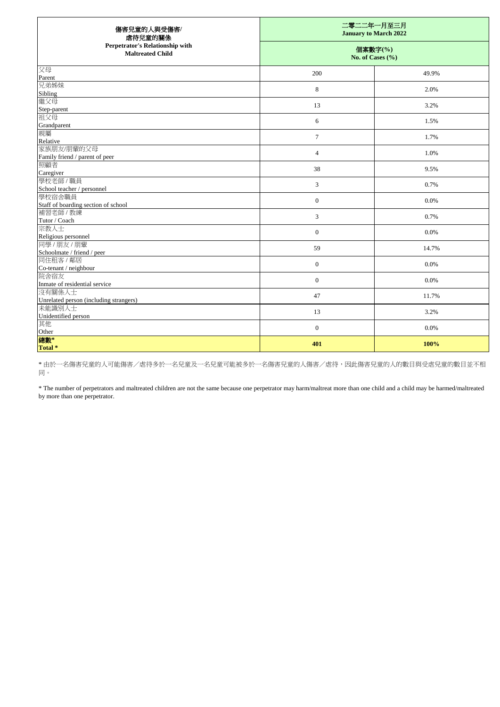| 傷害兒童的人與受傷害/<br>虐待兒童的關係                                     | 二零二二年一月至三月<br><b>January to March 2022</b><br>個案數字(%)<br>No. of Cases $(\% )$ |       |
|------------------------------------------------------------|-------------------------------------------------------------------------------|-------|
| Perpetrator's Relationship with<br><b>Maltreated Child</b> |                                                                               |       |
| 父母<br>Parent                                               | 200                                                                           | 49.9% |
| 兄弟姊妹                                                       | 8                                                                             | 2.0%  |
| Sibling                                                    |                                                                               |       |
| 繼父母                                                        | 13                                                                            | 3.2%  |
| Step-parent                                                |                                                                               |       |
| 祖父母                                                        | 6                                                                             | 1.5%  |
| Grandparent<br>親屬                                          |                                                                               |       |
| Relative                                                   | $\tau$                                                                        | 1.7%  |
| 家族朋友/朋輩的父母                                                 |                                                                               | 1.0%  |
| Family friend / parent of peer                             | $\overline{4}$                                                                |       |
| 照顧者                                                        | 38                                                                            | 9.5%  |
| Caregiver                                                  |                                                                               |       |
| 學校老師 / 職員                                                  | $\mathfrak{Z}$                                                                | 0.7%  |
| School teacher / personnel                                 |                                                                               |       |
| 學校宿舍職員                                                     | $\boldsymbol{0}$                                                              | 0.0%  |
| Staff of boarding section of school                        |                                                                               |       |
| 補習老師 / 教練                                                  | $\mathfrak{Z}$                                                                | 0.7%  |
| Tutor / Coach                                              |                                                                               |       |
| 宗教人士<br>Religious personnel                                | $\boldsymbol{0}$                                                              | 0.0%  |
| 同學/朋友/朋輩                                                   |                                                                               |       |
| Schoolmate / friend / peer                                 | 59                                                                            | 14.7% |
| 同住租客 / 鄰居                                                  |                                                                               |       |
| Co-tenant / neighbour                                      | $\boldsymbol{0}$                                                              | 0.0%  |
| 院舍宿友                                                       | $\boldsymbol{0}$                                                              | 0.0%  |
| Inmate of residential service                              |                                                                               |       |
| 沒有關係人士                                                     | 47                                                                            | 11.7% |
| Unrelated person (including strangers)                     |                                                                               |       |
| 未能識別人士                                                     | 13                                                                            | 3.2%  |
| Unidentified person                                        |                                                                               |       |
| 其他                                                         | $\boldsymbol{0}$                                                              | 0.0%  |
| Other                                                      |                                                                               |       |
| 總數*<br>Total *                                             | 401                                                                           | 100%  |

\* 由於一名傷害兒童的人可能傷害/虐待多於一名兒童及一名兒童可能被多於一名傷害兒童的人傷害/虐待,因此傷害兒童的大的數目與受虐兒童的數目並不相 同。

\* The number of perpetrators and maltreated children are not the same because one perpetrator may harm/maltreat more than one child and a child may be harmed/maltreated by more than one perpetrator.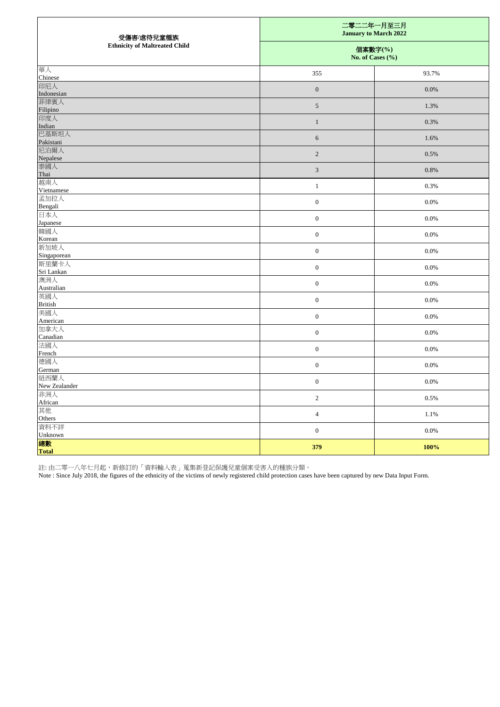| 受傷害/虐待兒童種族                           |                                 | 二零二二年一月至三月<br><b>January to March 2022</b> |  |
|--------------------------------------|---------------------------------|--------------------------------------------|--|
| <b>Ethnicity of Maltreated Child</b> | 個案數字(%)<br>No. of Cases $(\% )$ |                                            |  |
| 華人<br>Chinese                        | 355                             | 93.7%                                      |  |
| 印尼人<br>Indonesian                    | $\overline{0}$                  | 0.0%                                       |  |
| 菲律賓人<br>Filipino                     | $\mathfrak{S}$                  | 1.3%                                       |  |
| 印度人<br>Indian                        | 1                               | 0.3%                                       |  |
| 巴基斯坦人<br>Pakistani                   | $6\,$                           | 1.6%                                       |  |
| 尼泊爾人<br>Nepalese                     | $\overline{2}$                  | 0.5%                                       |  |
| 泰國人<br>Thai                          | $\mathfrak{Z}$                  | $0.8\%$                                    |  |
| 越南人<br>Vietnamese                    | 1                               | 0.3%                                       |  |
| 孟加拉人<br>Bengali                      | $\boldsymbol{0}$                | 0.0%                                       |  |
| 日本人<br>Japanese                      | $\boldsymbol{0}$                | 0.0%                                       |  |
| 韓國人<br>Korean                        | $\boldsymbol{0}$                | $0.0\%$                                    |  |
| 新加坡人<br>Singaporean                  | $\boldsymbol{0}$                | $0.0\%$                                    |  |
| 斯里蘭卡人<br>Sri Lankan                  | $\boldsymbol{0}$                | $0.0\%$                                    |  |
| 澳洲人<br>Australian                    | $\overline{0}$                  | $0.0\%$                                    |  |
| 英國人<br><b>British</b>                | $\boldsymbol{0}$                | 0.0%                                       |  |
| 美國人<br>American                      | $\boldsymbol{0}$                | $0.0\%$                                    |  |
| 加拿大人<br>Canadian                     | $\boldsymbol{0}$                | $0.0\%$                                    |  |
| 法國人<br>French                        | $\boldsymbol{0}$                | $0.0\%$                                    |  |
| 德國人<br>German                        | $\boldsymbol{0}$                | $0.0\%$                                    |  |
| 紐西蘭人<br>New Zealander                | $\boldsymbol{0}$                | 0.0%                                       |  |
| 非洲人<br>African                       | $\overline{c}$                  | 0.5%                                       |  |
| 其他<br>Others                         | $\overline{4}$                  | 1.1%                                       |  |
| 資料不詳<br>Unknown                      | $\boldsymbol{0}$                | $0.0\%$                                    |  |
| 總數<br>Total                          | 379                             | 100%                                       |  |

註: 由二零一八年七月起,新修訂的「資料輸入表」蒐集新登記保護兒童個案受害人的種族分類。

Note : Since July 2018, the figures of the ethnicity of the victims of newly registered child protection cases have been captured by new Data Input Form.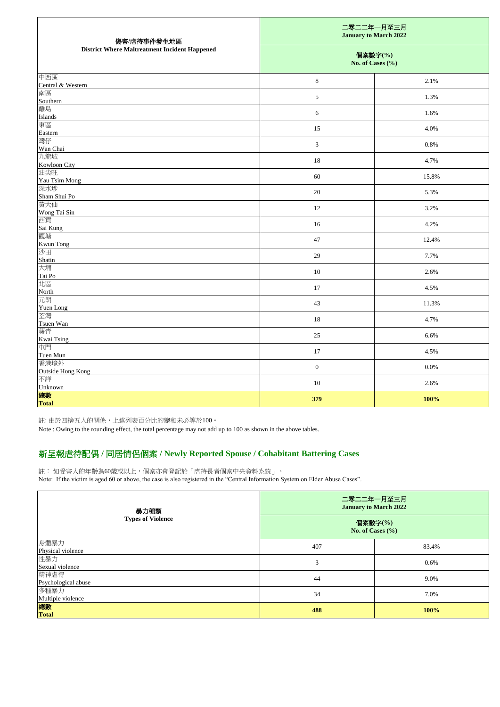註: 由於四捨五入的關係,上述列表百分比的總和未必等於100。

Note : Owing to the rounding effect, the total percentage may not add up to 100 as shown in the above tables.

| 傷害/虐待事件發生地區                                          |                             | 二零二二年一月至三月<br><b>January to March 2022</b> |  |
|------------------------------------------------------|-----------------------------|--------------------------------------------|--|
| <b>District Where Maltreatment Incident Happened</b> | 個案數字(%)<br>No. of Cases (%) |                                            |  |
| 中西區<br>Central & Western                             | 8                           | 2.1%                                       |  |
| 南區<br>Southern                                       | 5                           | 1.3%                                       |  |
| 離島<br><b>Islands</b>                                 | 6                           | 1.6%                                       |  |
| 東區<br>Eastern                                        | 15                          | 4.0%                                       |  |
| 灣仔<br>Wan Chai                                       | 3                           | $0.8\%$                                    |  |
| 九龍城<br>Kowloon City                                  | 18                          | 4.7%                                       |  |
| 油尖旺<br>Yau Tsim Mong                                 | 60                          | 15.8%                                      |  |
| 深水埗<br>Sham Shui Po                                  | 20                          | 5.3%                                       |  |
| 黃大仙<br>Wong Tai Sin                                  | 12                          | 3.2%                                       |  |
| 西貢<br>Sai Kung                                       | 16                          | 4.2%                                       |  |
| 觀塘<br><b>Kwun Tong</b>                               | 47                          | 12.4%                                      |  |
| 沙田<br>Shatin                                         | 29                          | 7.7%                                       |  |
| 大埔<br>Tai Po                                         | $10\,$                      | 2.6%                                       |  |
| 北區<br>North<br>元朗                                    | $17\,$                      | 4.5%                                       |  |
| Yuen Long                                            | 43                          | 11.3%                                      |  |
| 荃灣<br>Tsuen Wan                                      | $18\,$                      | 4.7%                                       |  |
| 葵青<br>Kwai Tsing                                     | $25\,$                      | 6.6%                                       |  |
| 屯門<br>Tuen Mun                                       | $17\,$                      | 4.5%                                       |  |
| 香港境外<br>Outside Hong Kong                            | $\boldsymbol{0}$            | $0.0\%$                                    |  |
| 不詳<br>Unknown                                        | 10                          | 2.6%                                       |  |
| 總數<br><b>Total</b>                                   | 379                         | 100%                                       |  |

註: 如受害人的年齡為60歲或以上,個案亦會登記於「虐待長者個案中央資料系統」。

Note: If the victim is aged 60 or above, the case is also registered in the "Central Information System on Elder Abuse Cases".

| 身體暴力                                 | 407 | 83.4%   |
|--------------------------------------|-----|---------|
|                                      |     |         |
| Physical violence<br>性暴力             |     | $0.6\%$ |
| Sexual violence                      |     |         |
| 精神虐待                                 | 44  | 9.0%    |
|                                      |     |         |
| Psychological abuse<br>多種暴力          | 34  | 7.0%    |
|                                      |     |         |
| Multiple violence<br><mark>總數</mark> | 488 | 100%    |
| <b>Total</b>                         |     |         |

二零二二年一月至三月 **January to March 2022**

## 新呈報虐待配偶 **/** 同居情侶個案 **/ Newly Reported Spouse / Cohabitant Battering Cases**

個案數字**(%) No. of Cases (%)**

暴力種類 **Types of Violence**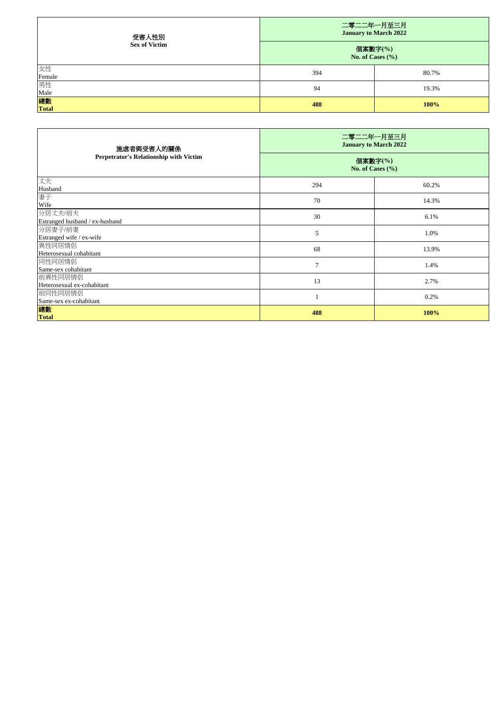| 受害人性別                | 二零二二年一月至三月<br><b>January to March 2022</b> |       |
|----------------------|--------------------------------------------|-------|
| <b>Sex of Victim</b> | 個案數字(%)<br>No. of Cases $(\% )$            |       |
| 女性<br>Female         | 394                                        | 80.7% |
| 男性<br>Male           | 94                                         | 19.3% |
| 總數<br><b>Total</b>   | 488                                        | 100%  |

| 施虐者與受害人的關係                                    | 二零二二年一月至三月<br><b>January to March 2022</b> |       |
|-----------------------------------------------|--------------------------------------------|-------|
| <b>Perpetrator's Relationship with Victim</b> | 個案數字(%)<br>No. of Cases $(\% )$            |       |
| 丈夫<br>Husband                                 | 294                                        | 60.2% |
| 妻子<br>Wife                                    | 70                                         | 14.3% |
| 分居丈夫/前夫<br>Estranged husband / ex-husband     | 30                                         | 6.1%  |
| 分居妻子/前妻<br>Estranged wife / ex-wife           | 5                                          | 1.0%  |
| 異性同居情侶<br>Heterosexual cohabitant             | 68                                         | 13.9% |
| 同性同居情侶<br>Same-sex cohabitant                 | $\overline{7}$                             | 1.4%  |
| 前異性同居情侶<br>Heterosexual ex-cohabitant         | 13                                         | 2.7%  |
| 前同性同居情侶<br>Same-sex ex-cohabitant             |                                            | 0.2%  |
| 總數<br><b>Total</b>                            | 488                                        | 100%  |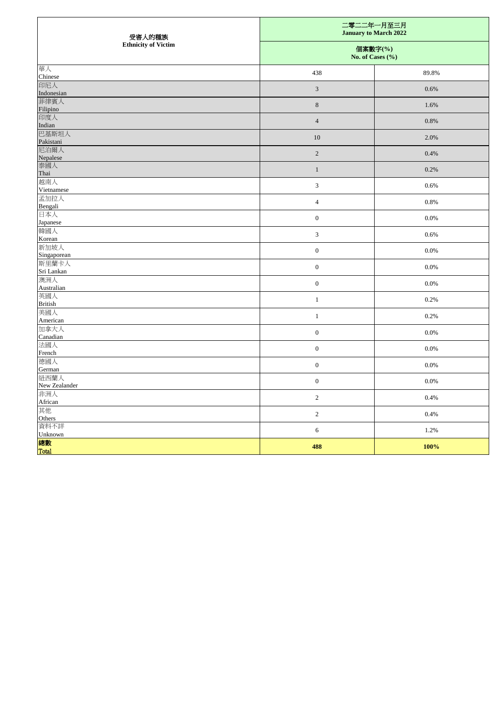| 受害人的種族                     | 二零二二年一月至三月                      | <b>January to March 2022</b> |
|----------------------------|---------------------------------|------------------------------|
| <b>Ethnicity of Victim</b> | 個案數字(%)<br>No. of Cases $(\% )$ |                              |
| 華人<br>Chinese              | 438                             | 89.8%                        |
| 印尼人<br>Indonesian          | $\mathfrak{Z}$                  | 0.6%                         |
| 菲律賓人<br>Filipino           | $8\,$                           | 1.6%                         |
| 印度人<br>Indian              | $\overline{4}$                  | $0.8\%$                      |
| 巴基斯坦人                      | 10                              | 2.0%                         |
| Pakistani<br>尼泊爾人          | $\overline{2}$                  | 0.4%                         |
| Nepalese<br>泰國人            | 1                               | 0.2%                         |
| Thai<br>越南人                | $\mathfrak{Z}$                  | 0.6%                         |
| Vietnamese<br>孟加拉人         | $\overline{4}$                  | 0.8%                         |
| Bengali<br>日本人             | $\boldsymbol{0}$                | 0.0%                         |
| Japanese<br>韓國人            | $\mathfrak{Z}$                  | 0.6%                         |
| Korean<br>新加坡人             | $\boldsymbol{0}$                | $0.0\%$                      |
| Singaporean<br>斯里蘭卡人       |                                 |                              |
| Sri Lankan<br>澳洲人          | $\boldsymbol{0}$                | 0.0%                         |
| Australian<br>英國人          | $\overline{0}$                  | $0.0\%$                      |
| <b>British</b><br>美國人      | $\mathbf{1}$                    | 0.2%                         |
| American                   | $\mathbf{1}$                    | 0.2%                         |
| 加拿大人<br>Canadian           | $\boldsymbol{0}$                | $0.0\%$                      |
| 法國人<br>French              | $\boldsymbol{0}$                | 0.0%                         |
| 德國人<br>German              | $\boldsymbol{0}$                | $0.0\%$                      |
| 紐西蘭人<br>New Zealander      | $\boldsymbol{0}$                | 0.0%                         |
| 非洲人<br>African             | $\overline{c}$                  | 0.4%                         |
| 其他<br>Others               | $\overline{2}$                  | 0.4%                         |
| 資料不詳<br>Unknown            | $6\,$                           | 1.2%                         |
| 總數<br>Total                | 488                             | 100%                         |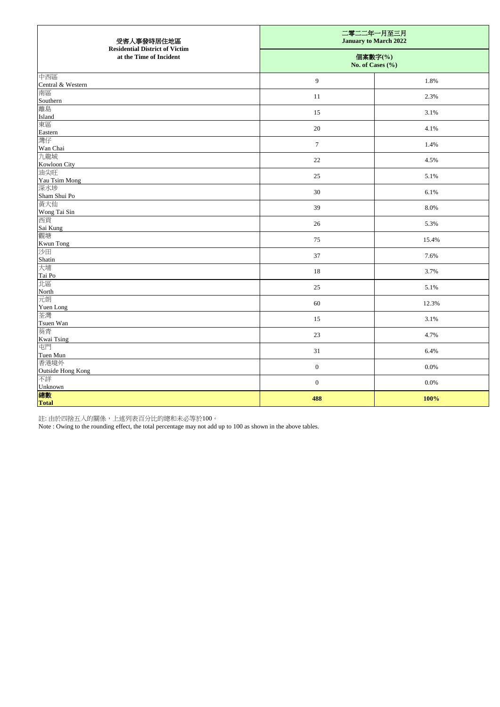| 受害人事發時居住地區<br><b>Residential District of Victim</b> | 二零二二年一月至三月<br><b>January to March 2022</b> |                             |  |
|-----------------------------------------------------|--------------------------------------------|-----------------------------|--|
| at the Time of Incident                             |                                            | 個案數字(%)<br>No. of Cases (%) |  |
| 中西區<br>Central & Western                            | $\overline{9}$                             | 1.8%                        |  |
| 南區<br>Southern                                      | <sup>11</sup>                              | 2.3%                        |  |
| 離島                                                  | 15                                         | 3.1%                        |  |
| Island<br>東區                                        | 20                                         | 4.1%                        |  |
| Eastern<br>灣仔                                       | $\overline{7}$                             | 1.4%                        |  |
| Wan Chai<br>九龍城                                     | 22                                         | 4.5%                        |  |
| Kowloon City<br>油尖旺                                 | 25                                         | 5.1%                        |  |
| Yau Tsim Mong<br>深水埗                                | $30\,$                                     | 6.1%                        |  |
| Sham Shui Po<br>黄大仙                                 | 39                                         | 8.0%                        |  |
| Wong Tai Sin<br>西貢                                  | 26                                         | 5.3%                        |  |
| Sai Kung<br>觀塘                                      | 75                                         | 15.4%                       |  |
| Kwun Tong<br>沙田                                     | 37                                         | 7.6%                        |  |
| Shatin<br>大埔                                        | 18                                         | 3.7%                        |  |
| Tai Po<br>北區                                        | 25                                         | 5.1%                        |  |
| North<br>元朗                                         | 60                                         | 12.3%                       |  |
| Yuen Long<br>荃灣                                     | 15                                         | 3.1%                        |  |
| Tsuen Wan<br>葵青                                     | 23                                         | 4.7%                        |  |
| Kwai Tsing<br>屯門                                    | 31                                         | 6.4%                        |  |
| Tuen Mun<br>香港境外                                    | $\boldsymbol{0}$                           | $0.0\%$                     |  |
| <b>Outside Hong Kong</b><br>不詳                      | $\boldsymbol{0}$                           | $0.0\%$                     |  |
| Unknown<br>總數<br><b>Total</b>                       | 488                                        | 100%                        |  |

註: 由於四捨五入的關係,上述列表百分比的總和未必等於100。

Note : Owing to the rounding effect, the total percentage may not add up to 100 as shown in the above tables.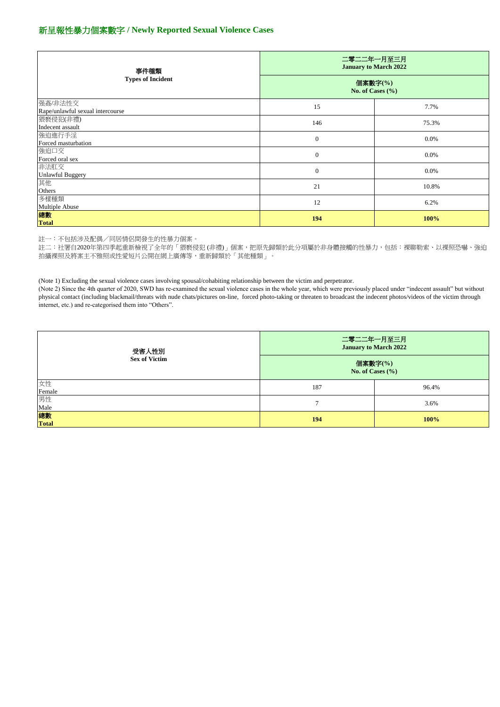註一:不包括涉及配偶/同居情侶間發生的性暴力個案。

註二:社署自2020年第四季起重新檢視了全年的「猥褻侵犯 (非禮)」個案,把原先歸類於此分項屬於非身體接觸的性暴力,包括:裸聊勒索、以裸照恐嚇、強迫 拍攝裸照及將案主不雅照或性愛短片公開在網上廣傳等,重新歸類於「其他種類」。

(Note 1) Excluding the sexual violence cases involving spousal/cohabiting relationship between the victim and perpetrator.

| 事件種類                                        | 二零二二年一月至三月<br><b>January to March 2022</b> |         |
|---------------------------------------------|--------------------------------------------|---------|
| <b>Types of Incident</b>                    | 個案數字(%)<br>No. of Cases $(\% )$            |         |
| 强姦/非法性交<br>Rape/unlawful sexual intercourse | 15                                         | 7.7%    |
| 猥褻侵犯(非禮)<br>Indecent assault                | 146                                        | 75.3%   |
| 強迫進行手淫<br>Forced masturbation               | $\boldsymbol{0}$                           | $0.0\%$ |
| 強迫口交<br>Forced oral sex                     | $\boldsymbol{0}$                           | $0.0\%$ |
| 非法肛交<br><b>Unlawful Buggery</b>             | $\boldsymbol{0}$                           | $0.0\%$ |
| 其他<br>Others                                | 21                                         | 10.8%   |
| 多樣種類<br>Multiple Abuse                      | 12                                         | 6.2%    |
| 總數<br><b>Total</b>                          | 194                                        | 100%    |

(Note 2) Since the 4th quarter of 2020, SWD has re-examined the sexual violence cases in the whole year, which were previously placed under "indecent assault" but without physical contact (including blackmail/threats with nude chats/pictures on-line, forced photo-taking or threaten to broadcast the indecent photos/videos of the victim through internet, etc.) and re-categorised them into "Others".

| 受害人性別                | 二零二二年一月至三月                      | <b>January to March 2022</b> |
|----------------------|---------------------------------|------------------------------|
| <b>Sex of Victim</b> | 個案數字(%)<br>No. of Cases $(\% )$ |                              |
| 女性<br>Female         | 187                             | 96.4%                        |
| 男性<br>Male           |                                 | 3.6%                         |
| 總數<br>Total          | 194                             | 100%                         |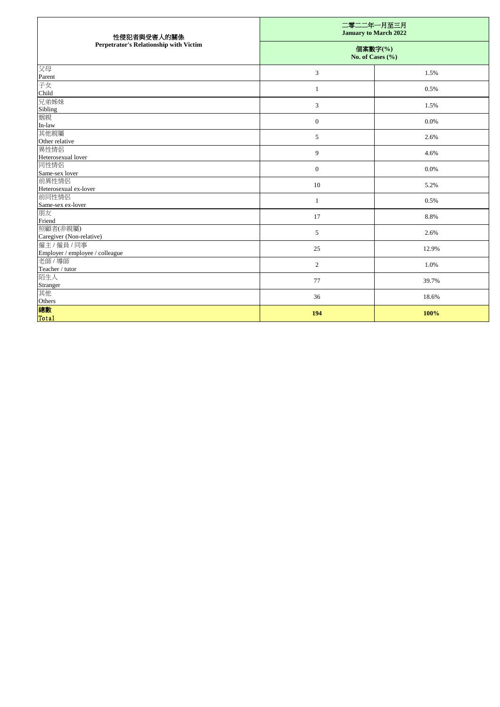| 性侵犯者與受害人的關係<br><b>Perpetrator's Relationship with Victim</b> | 二零二二年一月至三月<br><b>January to March 2022</b> |       |
|--------------------------------------------------------------|--------------------------------------------|-------|
|                                                              | 個案數字(%)<br>No. of Cases $(\% )$            |       |
| 父母                                                           | $\mathfrak{Z}$                             | 1.5%  |
| Parent<br>子女                                                 |                                            |       |
| Child                                                        | $\mathbf{1}$                               | 0.5%  |
| 兄弟姊妹                                                         | $\mathfrak{Z}$                             | 1.5%  |
| Sibling                                                      |                                            |       |
| 姻親                                                           | $\boldsymbol{0}$                           | 0.0%  |
| In-law                                                       |                                            |       |
| 其他親屬<br>Other relative                                       | $\sqrt{5}$                                 | 2.6%  |
| 異性情侶                                                         |                                            |       |
| Heterosexual lover                                           | $\mathbf{9}$                               | 4.6%  |
| 同性情侶                                                         | $\boldsymbol{0}$                           | 0.0%  |
| Same-sex lover                                               |                                            |       |
| 前異性情侶                                                        | 10                                         | 5.2%  |
| Heterosexual ex-lover                                        |                                            |       |
| 前同性情侶                                                        | $\mathbf{1}$                               | 0.5%  |
| Same-sex ex-lover<br>朋友                                      |                                            |       |
| Friend                                                       | 17                                         | 8.8%  |
| 照顧者(非親屬)                                                     |                                            |       |
| Caregiver (Non-relative)                                     | $\mathfrak{S}$                             | 2.6%  |
| 僱主/僱員/同事                                                     | 25                                         | 12.9% |
| Employer / employee / colleague                              |                                            |       |
| 老師 / 導師                                                      | $\overline{2}$                             | 1.0%  |
| Teacher / tutor                                              |                                            |       |
| 陌生人<br>Stranger                                              | 77                                         | 39.7% |
| 其他                                                           |                                            |       |
| Others                                                       | 36                                         | 18.6% |
| 總數                                                           | 194                                        | 100%  |
| Total                                                        |                                            |       |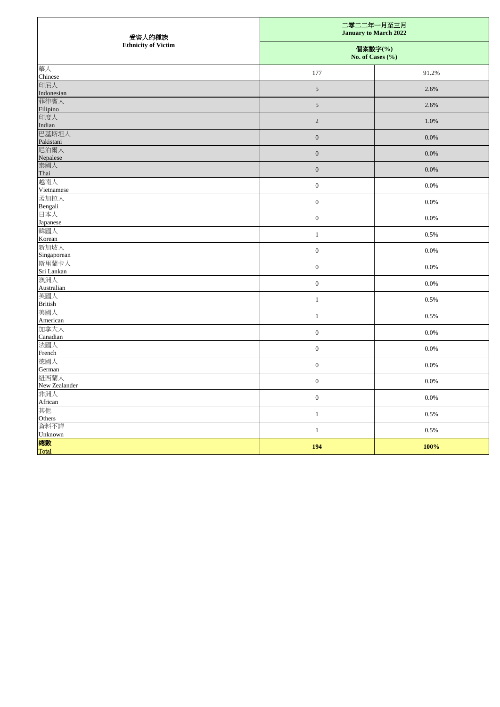| 受害人的種族<br><b>Ethnicity of Victim</b> | 二零二二年一月至三月<br><b>January to March 2022</b> |         |
|--------------------------------------|--------------------------------------------|---------|
|                                      | 個案數字(%)<br>No. of Cases $(\% )$            |         |
| 華人<br>Chinese                        | 177                                        | 91.2%   |
| 印尼人<br>Indonesian                    | $\mathfrak{S}$                             | 2.6%    |
| 菲律賓人<br>Filipino                     | $5\overline{)}$                            | 2.6%    |
| 印度人<br>Indian                        | $\overline{2}$                             | 1.0%    |
| 巴基斯坦人<br>Pakistani                   | $0\,$                                      | 0.0%    |
| 尼泊爾人<br>Nepalese                     | $0\,$                                      | 0.0%    |
| 泰國人<br>Thai                          | $\overline{0}$                             | $0.0\%$ |
| 越南人<br>Vietnamese                    | $\boldsymbol{0}$                           | 0.0%    |
| 孟加拉人<br>Bengali                      | $\boldsymbol{0}$                           | $0.0\%$ |
| 日本人<br>Japanese                      | $\boldsymbol{0}$                           | 0.0%    |
| 韓國人<br>Korean                        | $\mathbf{1}$                               | 0.5%    |
| 新加坡人<br>Singaporean                  | $\boldsymbol{0}$                           | 0.0%    |
| 斯里蘭卡人<br>Sri Lankan                  | $\boldsymbol{0}$                           | 0.0%    |
| 澳洲人<br>Australian                    | $\overline{0}$                             | $0.0\%$ |
| 英國人<br><b>British</b>                | $\mathbf{1}$                               | 0.5%    |
| 美國人<br>American                      | $\mathbf{1}$                               | 0.5%    |
| 加拿大人<br>Canadian                     | $\boldsymbol{0}$                           | $0.0\%$ |
| 法國人<br>French                        | $\boldsymbol{0}$                           | 0.0%    |
| 德國人<br>German                        | $\boldsymbol{0}$                           | $0.0\%$ |
| 紐西蘭人<br>New Zealander                | $\boldsymbol{0}$                           | $0.0\%$ |
| 非洲人<br>African                       | $\boldsymbol{0}$                           | $0.0\%$ |
| 其他<br>Others                         | $\mathbf{1}$                               | 0.5%    |
| 資料不詳<br>Unknown                      | $\mathbf{1}$                               | 0.5%    |
| 總數<br>Total                          | <b>194</b>                                 | 100%    |